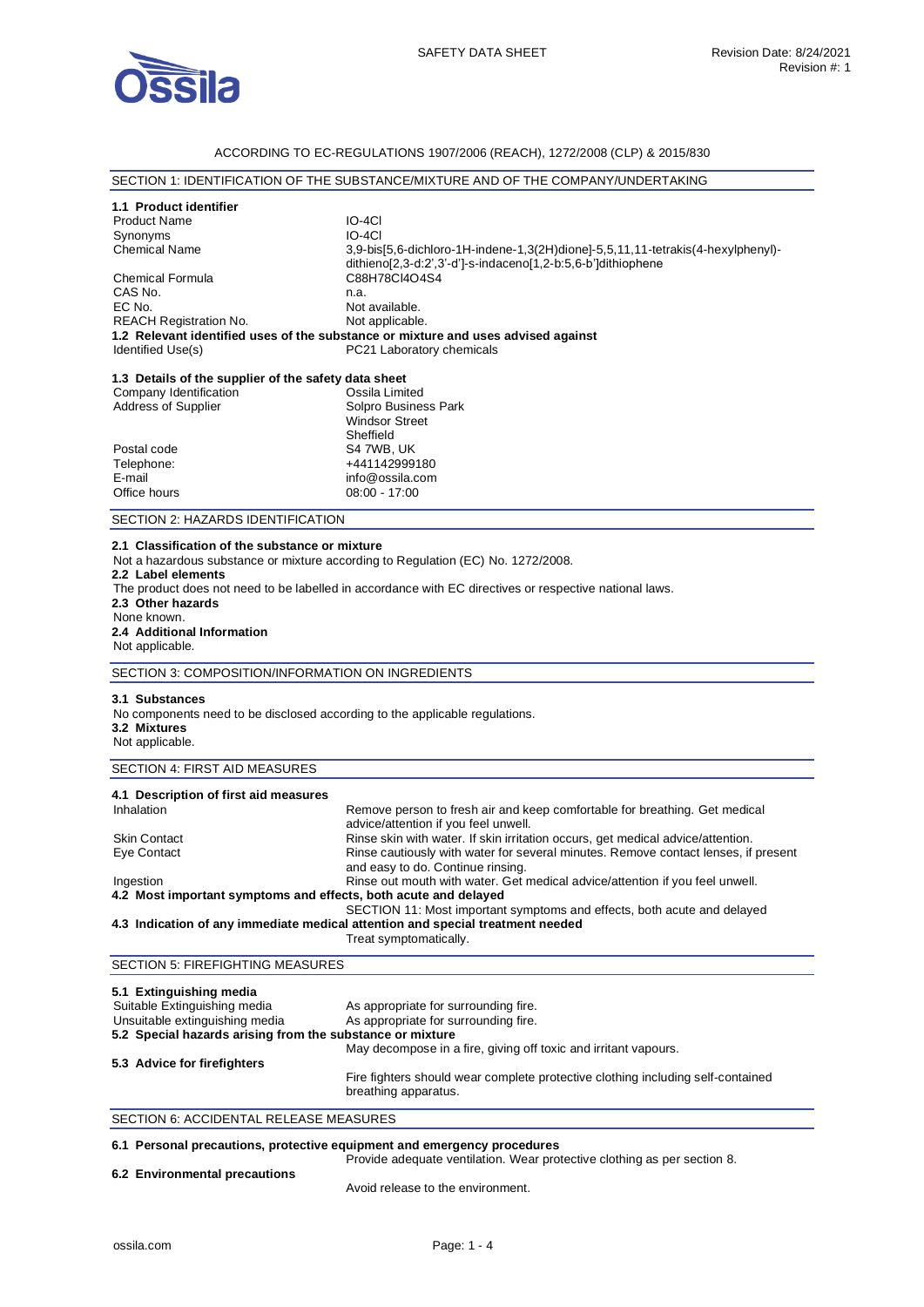

## ACCORDING TO EC-REGULATIONS 1907/2006 (REACH), 1272/2008 (CLP) & 2015/830

### SECTION 1: IDENTIFICATION OF THE SUBSTANCE/MIXTURE AND OF THE COMPANY/UNDERTAKING

|                                                                                | SECTION 1: IDENTIFICATION OF THE SUBSTANCE/MIXTURE AND OF THE COMPANY/UNDERTAKING                                  |  |
|--------------------------------------------------------------------------------|--------------------------------------------------------------------------------------------------------------------|--|
| 1.1 Product identifier                                                         |                                                                                                                    |  |
| <b>Product Name</b>                                                            | IO-4CI                                                                                                             |  |
| Synonyms                                                                       | $IO-4CI$                                                                                                           |  |
| <b>Chemical Name</b>                                                           | 3,9-bis[5,6-dichloro-1H-indene-1,3(2H)dione]-5,5,11,11-tetrakis(4-hexylphenyl)-                                    |  |
|                                                                                | dithieno[2,3-d:2',3'-d']-s-indaceno[1,2-b:5,6-b']dithiophene                                                       |  |
| <b>Chemical Formula</b>                                                        | C88H78CI4O4S4                                                                                                      |  |
| CAS No.                                                                        | n.a.                                                                                                               |  |
| EC No.                                                                         | Not available.                                                                                                     |  |
| REACH Registration No.                                                         | Not applicable.                                                                                                    |  |
|                                                                                | 1.2 Relevant identified uses of the substance or mixture and uses advised against                                  |  |
| Identified Use(s)                                                              | PC21 Laboratory chemicals                                                                                          |  |
|                                                                                |                                                                                                                    |  |
| 1.3 Details of the supplier of the safety data sheet<br>Company Identification | Ossila Limited                                                                                                     |  |
| Address of Supplier                                                            | Solpro Business Park                                                                                               |  |
|                                                                                | <b>Windsor Street</b>                                                                                              |  |
|                                                                                | Sheffield                                                                                                          |  |
| Postal code                                                                    | S4 7WB, UK                                                                                                         |  |
| Telephone:                                                                     | +441142999180                                                                                                      |  |
| E-mail                                                                         | info@ossila.com                                                                                                    |  |
| Office hours                                                                   | $08:00 - 17:00$                                                                                                    |  |
| SECTION 2: HAZARDS IDENTIFICATION                                              |                                                                                                                    |  |
|                                                                                |                                                                                                                    |  |
| 2.1 Classification of the substance or mixture                                 |                                                                                                                    |  |
|                                                                                | Not a hazardous substance or mixture according to Regulation (EC) No. 1272/2008.                                   |  |
| 2.2 Label elements                                                             |                                                                                                                    |  |
|                                                                                | The product does not need to be labelled in accordance with EC directives or respective national laws.             |  |
| 2.3 Other hazards<br>None known.                                               |                                                                                                                    |  |
| 2.4 Additional Information                                                     |                                                                                                                    |  |
| Not applicable.                                                                |                                                                                                                    |  |
|                                                                                |                                                                                                                    |  |
| SECTION 3: COMPOSITION/INFORMATION ON INGREDIENTS                              |                                                                                                                    |  |
| 3.1 Substances                                                                 |                                                                                                                    |  |
| No components need to be disclosed according to the applicable regulations.    |                                                                                                                    |  |
| 3.2 Mixtures                                                                   |                                                                                                                    |  |
| Not applicable.                                                                |                                                                                                                    |  |
| SECTION 4: FIRST AID MEASURES                                                  |                                                                                                                    |  |
|                                                                                |                                                                                                                    |  |
| 4.1 Description of first aid measures                                          |                                                                                                                    |  |
| Inhalation                                                                     | Remove person to fresh air and keep comfortable for breathing. Get medical<br>advice/attention if you feel unwell. |  |
| <b>Skin Contact</b>                                                            | Rinse skin with water. If skin irritation occurs, get medical advice/attention.                                    |  |
| Eye Contact                                                                    | Rinse cautiously with water for several minutes. Remove contact lenses, if present                                 |  |
|                                                                                | and easy to do. Continue rinsing.                                                                                  |  |
| Ingestion                                                                      | Rinse out mouth with water. Get medical advice/attention if you feel unwell.                                       |  |
| 4.2 Most important symptoms and effects, both acute and delayed                |                                                                                                                    |  |
|                                                                                | SECTION 11: Most important symptoms and effects, both acute and delayed                                            |  |
|                                                                                | 4.3 Indication of any immediate medical attention and special treatment needed<br>Treat symptomatically.           |  |
|                                                                                |                                                                                                                    |  |
| <b>SECTION 5: FIREFIGHTING MEASURES</b>                                        |                                                                                                                    |  |
|                                                                                |                                                                                                                    |  |
| 5.1 Extinguishing media<br>Suitable Extinguishing media                        | As appropriate for surrounding fire.                                                                               |  |
| Unsuitable extinguishing media                                                 | As appropriate for surrounding fire.                                                                               |  |
| 5.2 Special hazards arising from the substance or mixture                      |                                                                                                                    |  |
| May decompose in a fire, giving off toxic and irritant vapours.                |                                                                                                                    |  |
| 5.3 Advice for firefighters                                                    |                                                                                                                    |  |
|                                                                                | Fire fighters should wear complete protective clothing including self-contained                                    |  |
|                                                                                | breathing apparatus.                                                                                               |  |
| SECTION 6: ACCIDENTAL RELEASE MEASURES                                         |                                                                                                                    |  |

## **6.1 Personal precautions, protective equipment and emergency procedures**

Provide adequate ventilation. Wear protective clothing as per section 8.

# **6.2 Environmental precautions**

Avoid release to the environment.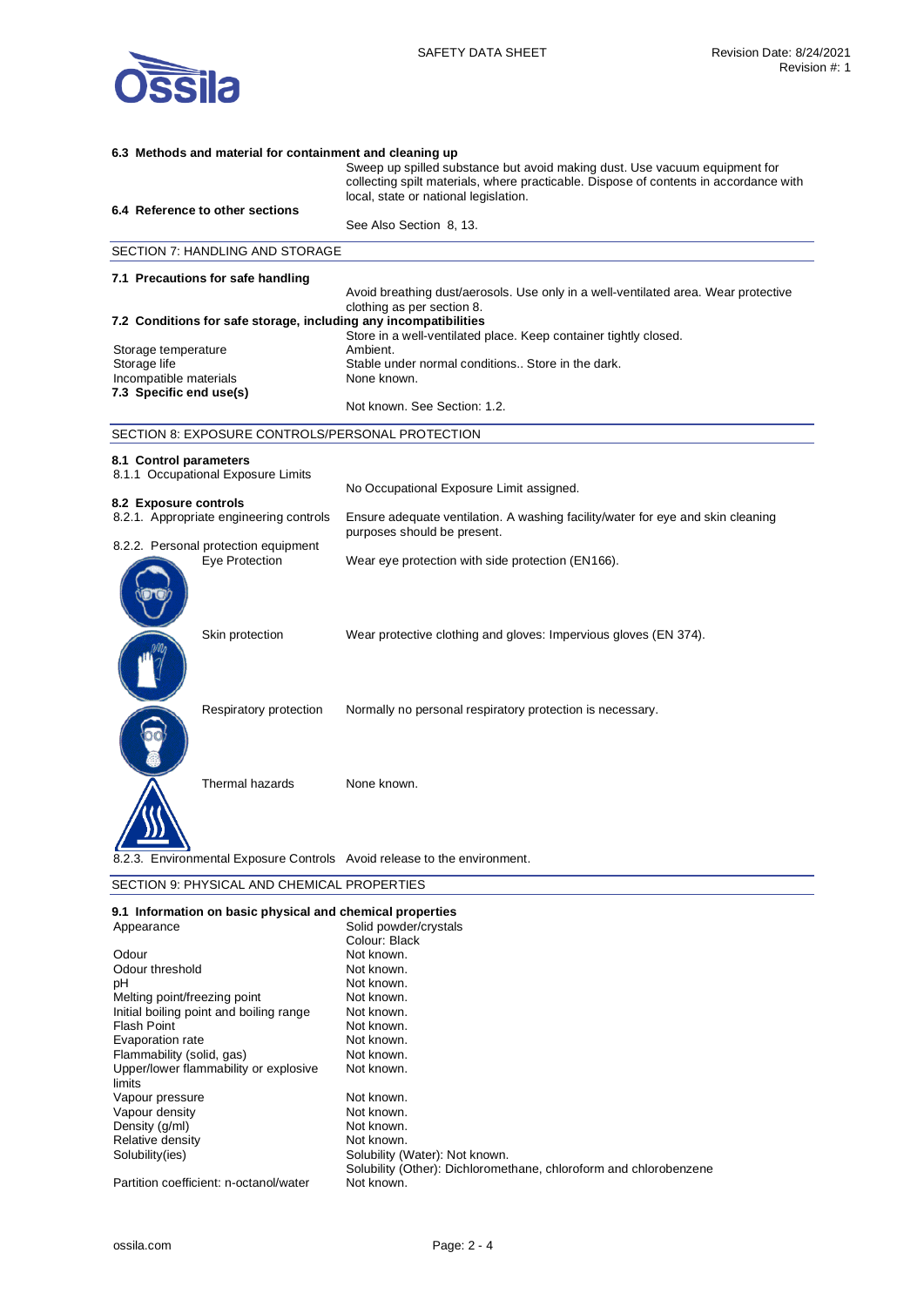

| 6.3 Methods and material for containment and cleaning up |                                                           |                                                                                                                                                                     |  |  |
|----------------------------------------------------------|-----------------------------------------------------------|---------------------------------------------------------------------------------------------------------------------------------------------------------------------|--|--|
|                                                          |                                                           | Sweep up spilled substance but avoid making dust. Use vacuum equipment for<br>collecting spilt materials, where practicable. Dispose of contents in accordance with |  |  |
|                                                          | 6.4 Reference to other sections                           | local, state or national legislation.                                                                                                                               |  |  |
|                                                          |                                                           | See Also Section 8, 13.                                                                                                                                             |  |  |
|                                                          | SECTION 7: HANDLING AND STORAGE                           |                                                                                                                                                                     |  |  |
|                                                          | 7.1 Precautions for safe handling                         |                                                                                                                                                                     |  |  |
|                                                          |                                                           | Avoid breathing dust/aerosols. Use only in a well-ventilated area. Wear protective<br>clothing as per section 8.                                                    |  |  |
|                                                          |                                                           | 7.2 Conditions for safe storage, including any incompatibilities                                                                                                    |  |  |
|                                                          |                                                           | Store in a well-ventilated place. Keep container tightly closed.                                                                                                    |  |  |
| Storage temperature                                      |                                                           | Ambient.                                                                                                                                                            |  |  |
| Storage life                                             |                                                           | Stable under normal conditions Store in the dark.<br>None known.                                                                                                    |  |  |
| Incompatible materials<br>7.3 Specific end use(s)        |                                                           |                                                                                                                                                                     |  |  |
|                                                          |                                                           | Not known. See Section: 1.2.                                                                                                                                        |  |  |
|                                                          | SECTION 8: EXPOSURE CONTROLS/PERSONAL PROTECTION          |                                                                                                                                                                     |  |  |
| 8.1 Control parameters                                   |                                                           |                                                                                                                                                                     |  |  |
|                                                          | 8.1.1 Occupational Exposure Limits                        |                                                                                                                                                                     |  |  |
|                                                          |                                                           | No Occupational Exposure Limit assigned.                                                                                                                            |  |  |
| 8.2 Exposure controls                                    |                                                           |                                                                                                                                                                     |  |  |
|                                                          | 8.2.1. Appropriate engineering controls                   | Ensure adequate ventilation. A washing facility/water for eye and skin cleaning<br>purposes should be present.                                                      |  |  |
|                                                          | 8.2.2. Personal protection equipment                      |                                                                                                                                                                     |  |  |
|                                                          | <b>Eve Protection</b>                                     | Wear eye protection with side protection (EN166).                                                                                                                   |  |  |
|                                                          | Skin protection                                           | Wear protective clothing and gloves: Impervious gloves (EN 374).                                                                                                    |  |  |
|                                                          | Respiratory protection                                    | Normally no personal respiratory protection is necessary.                                                                                                           |  |  |
|                                                          | <b>Thermal hazards</b>                                    | None known.                                                                                                                                                         |  |  |
|                                                          |                                                           | 8.2.3. Environmental Exposure Controls Avoid release to the environment.                                                                                            |  |  |
| SECTION 9: PHYSICAL AND CHEMICAL PROPERTIES              |                                                           |                                                                                                                                                                     |  |  |
|                                                          | 9.1 Information on basic physical and chemical properties |                                                                                                                                                                     |  |  |

| 9.1 Information on basic physical and chemical properties |                                                                   |
|-----------------------------------------------------------|-------------------------------------------------------------------|
| Appearance                                                | Solid powder/crystals                                             |
|                                                           | Colour: Black                                                     |
| Odour                                                     | Not known.                                                        |
| Odour threshold                                           | Not known.                                                        |
| рH                                                        | Not known.                                                        |
| Melting point/freezing point                              | Not known.                                                        |
| Initial boiling point and boiling range                   | Not known.                                                        |
| Flash Point                                               | Not known.                                                        |
| Evaporation rate                                          | Not known.                                                        |
| Flammability (solid, gas)                                 | Not known.                                                        |
| Upper/lower flammability or explosive                     | Not known.                                                        |
| limits                                                    |                                                                   |
| Vapour pressure                                           | Not known.                                                        |
| Vapour density                                            | Not known.                                                        |
| Density (g/ml)                                            | Not known.                                                        |
| Relative density                                          | Not known.                                                        |
| Solubility (ies)                                          | Solubility (Water): Not known.                                    |
|                                                           | Solubility (Other): Dichloromethane, chloroform and chlorobenzene |
| Partition coefficient: n-octanol/water                    | Not known.                                                        |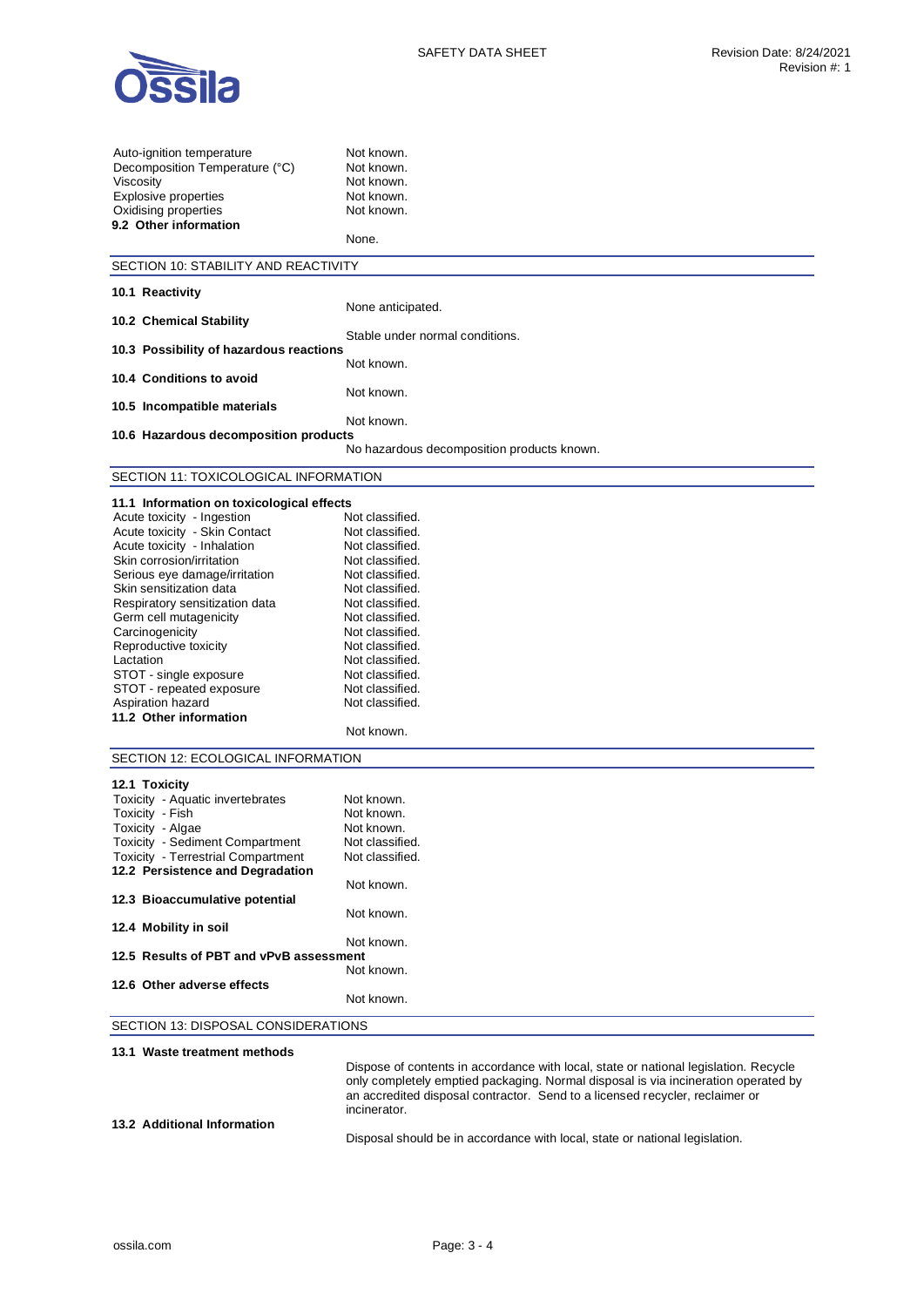

| Auto-ignition temperature<br>Decomposition Temperature (°C)<br>Viscosity<br><b>Explosive properties</b><br>Oxidising properties<br>9.2 Other information | Not known.<br>Not known.<br>Not known.<br>Not known.<br>Not known.<br>None.                                                                                        |  |
|----------------------------------------------------------------------------------------------------------------------------------------------------------|--------------------------------------------------------------------------------------------------------------------------------------------------------------------|--|
| SECTION 10: STABILITY AND REACTIVITY                                                                                                                     |                                                                                                                                                                    |  |
| 10.1 Reactivity                                                                                                                                          |                                                                                                                                                                    |  |
|                                                                                                                                                          | None anticipated.                                                                                                                                                  |  |
| 10.2 Chemical Stability                                                                                                                                  |                                                                                                                                                                    |  |
| 10.3 Possibility of hazardous reactions                                                                                                                  | Stable under normal conditions.                                                                                                                                    |  |
|                                                                                                                                                          | Not known.                                                                                                                                                         |  |
| 10.4 Conditions to avoid                                                                                                                                 |                                                                                                                                                                    |  |
|                                                                                                                                                          | Not known.                                                                                                                                                         |  |
| 10.5 Incompatible materials                                                                                                                              | Not known.                                                                                                                                                         |  |
| 10.6 Hazardous decomposition products                                                                                                                    |                                                                                                                                                                    |  |
|                                                                                                                                                          | No hazardous decomposition products known.                                                                                                                         |  |
| SECTION 11: TOXICOLOGICAL INFORMATION                                                                                                                    |                                                                                                                                                                    |  |
|                                                                                                                                                          |                                                                                                                                                                    |  |
| 11.1 Information on toxicological effects                                                                                                                |                                                                                                                                                                    |  |
| Acute toxicity - Ingestion                                                                                                                               | Not classified.                                                                                                                                                    |  |
| Acute toxicity - Skin Contact                                                                                                                            | Not classified.                                                                                                                                                    |  |
| Acute toxicity - Inhalation<br>Skin corrosion/irritation                                                                                                 | Not classified.<br>Not classified.                                                                                                                                 |  |
| Serious eye damage/irritation                                                                                                                            | Not classified.                                                                                                                                                    |  |
| Skin sensitization data                                                                                                                                  | Not classified.                                                                                                                                                    |  |
| Respiratory sensitization data                                                                                                                           | Not classified.                                                                                                                                                    |  |
| Germ cell mutagenicity                                                                                                                                   | Not classified.                                                                                                                                                    |  |
| Carcinogenicity                                                                                                                                          | Not classified.                                                                                                                                                    |  |
| Reproductive toxicity                                                                                                                                    | Not classified.                                                                                                                                                    |  |
| Lactation                                                                                                                                                | Not classified.                                                                                                                                                    |  |
| STOT - single exposure                                                                                                                                   | Not classified.                                                                                                                                                    |  |
| STOT - repeated exposure                                                                                                                                 | Not classified.                                                                                                                                                    |  |
| Aspiration hazard                                                                                                                                        | Not classified.                                                                                                                                                    |  |
| 11.2 Other information                                                                                                                                   |                                                                                                                                                                    |  |
|                                                                                                                                                          | Not known.                                                                                                                                                         |  |
| SECTION 12: ECOLOGICAL INFORMATION                                                                                                                       |                                                                                                                                                                    |  |
|                                                                                                                                                          |                                                                                                                                                                    |  |
| 12.1 Toxicity                                                                                                                                            |                                                                                                                                                                    |  |
| Toxicity - Aquatic invertebrates                                                                                                                         | Not known.                                                                                                                                                         |  |
| Toxicity - Fish                                                                                                                                          | Not known.                                                                                                                                                         |  |
| Toxicity - Algae                                                                                                                                         | Not known.                                                                                                                                                         |  |
| <b>Toxicity - Sediment Compartment</b><br><b>Toxicity - Terrestrial Compartment</b>                                                                      | Not classified.<br>Not classified.                                                                                                                                 |  |
| 12.2 Persistence and Degradation                                                                                                                         |                                                                                                                                                                    |  |
|                                                                                                                                                          | Not known.                                                                                                                                                         |  |
| 12.3 Bioaccumulative potential                                                                                                                           |                                                                                                                                                                    |  |
|                                                                                                                                                          | Not known.                                                                                                                                                         |  |
| 12.4 Mobility in soil                                                                                                                                    |                                                                                                                                                                    |  |
|                                                                                                                                                          | Not known.                                                                                                                                                         |  |
| 12.5 Results of PBT and vPvB assessment                                                                                                                  |                                                                                                                                                                    |  |
|                                                                                                                                                          | Not known.                                                                                                                                                         |  |
| 12.6 Other adverse effects                                                                                                                               | Not known.                                                                                                                                                         |  |
|                                                                                                                                                          |                                                                                                                                                                    |  |
| SECTION 13: DISPOSAL CONSIDERATIONS                                                                                                                      |                                                                                                                                                                    |  |
| 13.1 Waste treatment methods                                                                                                                             |                                                                                                                                                                    |  |
|                                                                                                                                                          | Dispose of contents in accordance with local, state or national legislation. Recycle                                                                               |  |
|                                                                                                                                                          | only completely emptied packaging. Normal disposal is via incineration operated by<br>an accredited disposal contractor. Send to a licensed recycler, reclaimer or |  |

**13.2 Additional Information** 

Disposal should be in accordance with local, state or national legislation.

incinerator.